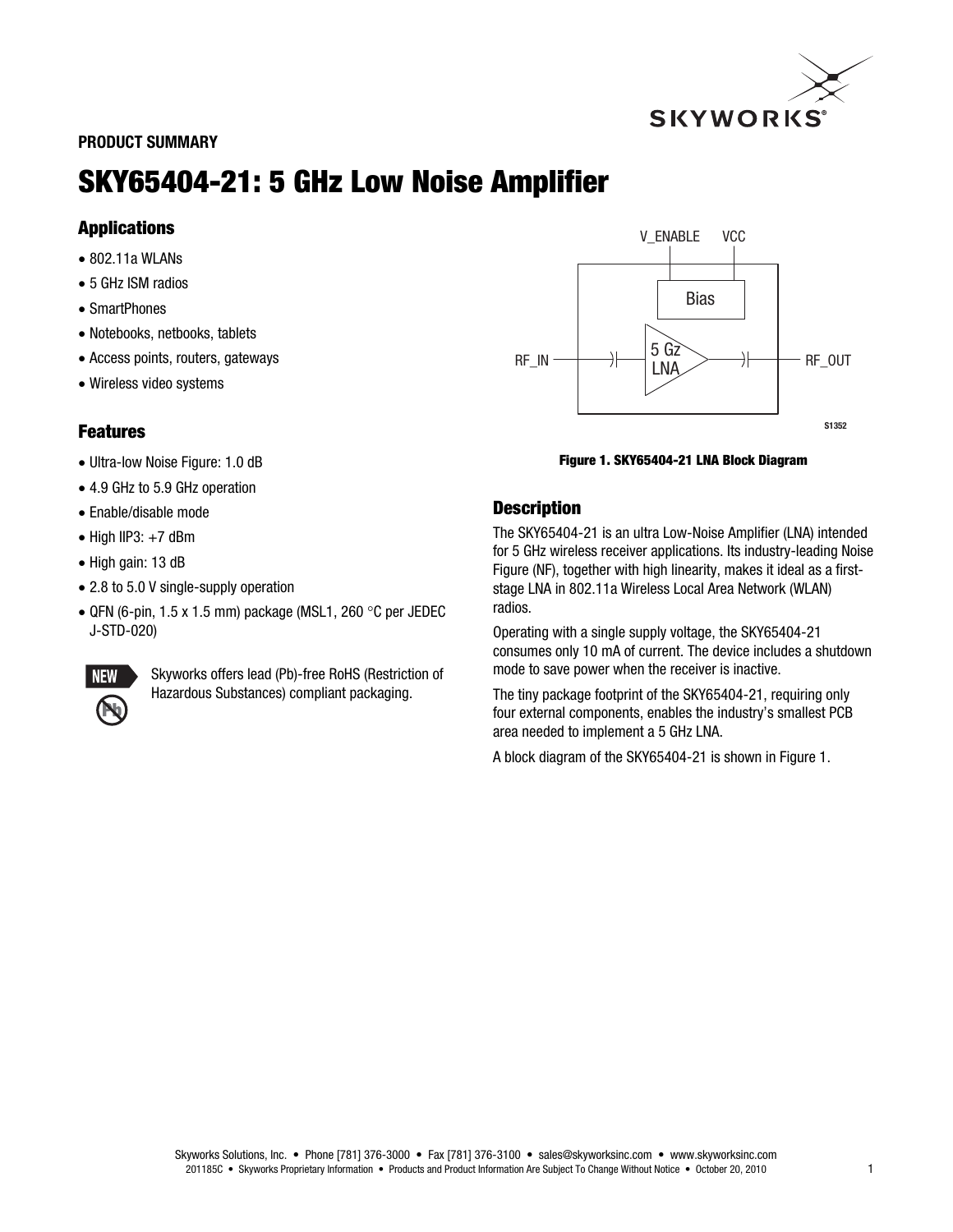

#### PRODUCT SUMMARY

# SKY65404-21: 5 GHz Low Noise Amplifier

## Applications

- 802.11a WLANs
- 5 GHz ISM radios
- SmartPhones
- Notebooks, netbooks, tablets
- Access points, routers, gateways
- Wireless video systems

## Features

- Ultra-low Noise Figure: 1.0 dB
- 4.9 GHz to 5.9 GHz operation
- Enable/disable mode
- $\bullet$  High IIP3:  $+7$  dBm
- High gain: 13 dB
- 2.8 to 5.0 V single-supply operation
- $\bullet$  QFN (6-pin, 1.5 x 1.5 mm) package (MSL1, 260 °C per JEDEC J-STD-020)



Skyworks offers lead (Pb)-free RoHS (Restriction of Hazardous Substances) compliant packaging.



#### Figure 1. SKY65404-21 LNA Block Diagram

## **Description**

The SKY65404-21 is an ultra Low-Noise Amplifier (LNA) intended for 5 GHz wireless receiver applications. Its industry-leading Noise Figure (NF), together with high linearity, makes it ideal as a firststage LNA in 802.11a Wireless Local Area Network (WLAN) radios.

Operating with a single supply voltage, the SKY65404-21 consumes only 10 mA of current. The device includes a shutdown mode to save power when the receiver is inactive.

The tiny package footprint of the SKY65404-21, requiring only four external components, enables the industry's smallest PCB area needed to implement a 5 GHz LNA.

A block diagram of the SKY65404-21 is shown in Figure 1.